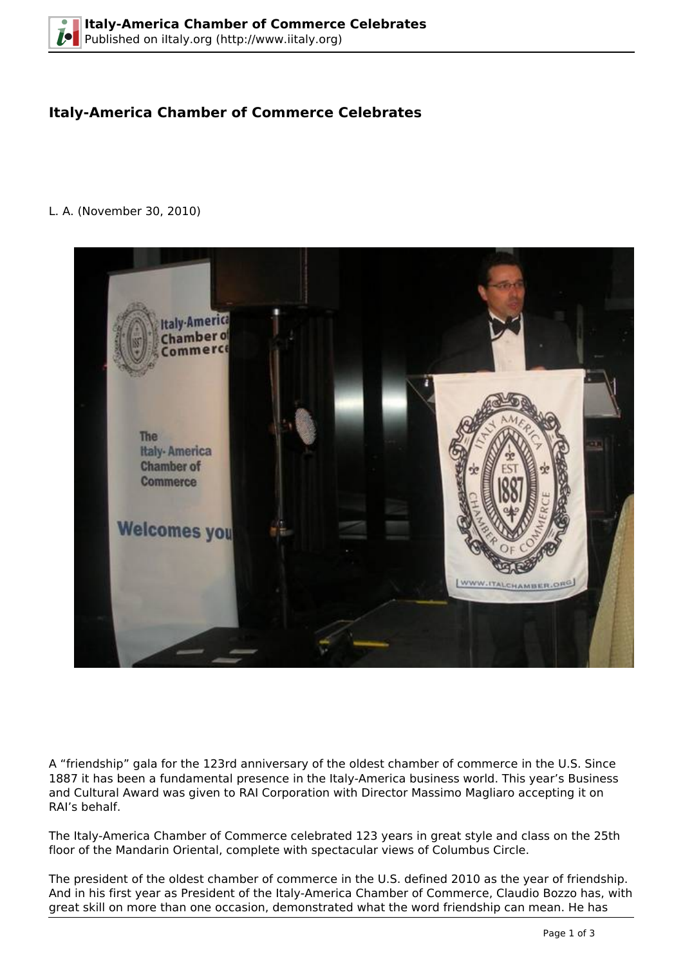## **Italy-America Chamber of Commerce Celebrates**

## L. A. (November 30, 2010)



A "friendship" gala for the 123rd anniversary of the oldest chamber of commerce in the U.S. Since 1887 it has been a fundamental presence in the Italy-America business world. This year's Business and Cultural Award was given to RAI Corporation with Director Massimo Magliaro accepting it on RAI's behalf.

The Italy-America Chamber of Commerce celebrated 123 years in great style and class on the 25th floor of the Mandarin Oriental, complete with spectacular views of Columbus Circle.

The president of the oldest chamber of commerce in the U.S. defined 2010 as the year of friendship. And in his first year as President of the Italy-America Chamber of Commerce, Claudio Bozzo has, with great skill on more than one occasion, demonstrated what the word friendship can mean. He has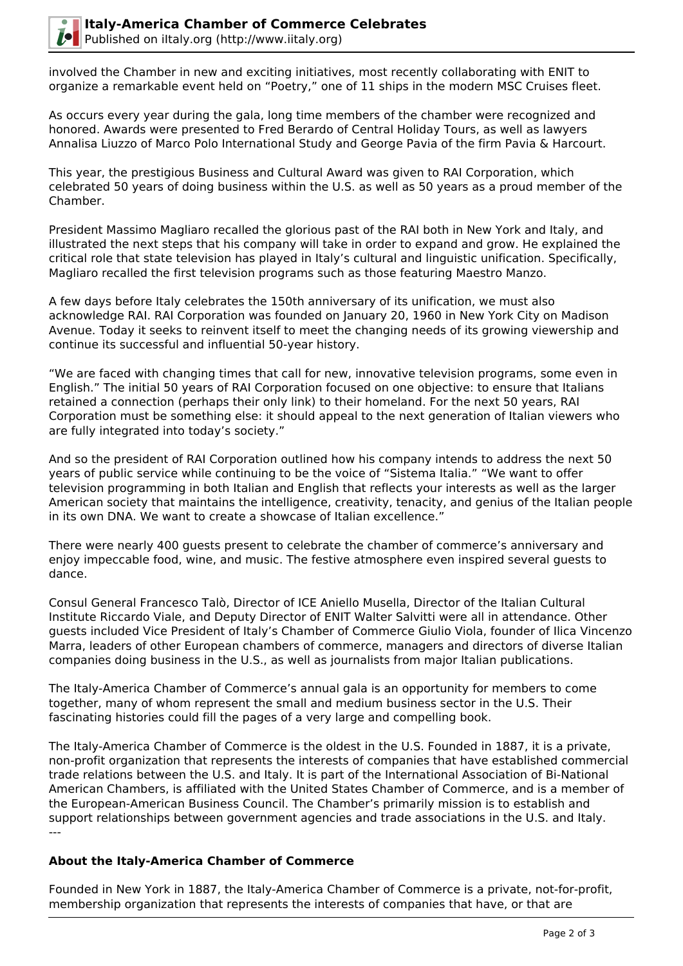

involved the Chamber in new and exciting initiatives, most recently collaborating with ENIT to organize a remarkable event held on "Poetry," one of 11 ships in the modern MSC Cruises fleet.

As occurs every year during the gala, long time members of the chamber were recognized and honored. Awards were presented to Fred Berardo of Central Holiday Tours, as well as lawyers Annalisa Liuzzo of Marco Polo International Study and George Pavia of the firm Pavia & Harcourt.

This year, the prestigious Business and Cultural Award was given to RAI Corporation, which celebrated 50 years of doing business within the U.S. as well as 50 years as a proud member of the Chamber.

President Massimo Magliaro recalled the glorious past of the RAI both in New York and Italy, and illustrated the next steps that his company will take in order to expand and grow. He explained the critical role that state television has played in Italy's cultural and linguistic unification. Specifically, Magliaro recalled the first television programs such as those featuring Maestro Manzo.

A few days before Italy celebrates the 150th anniversary of its unification, we must also acknowledge RAI. RAI Corporation was founded on January 20, 1960 in New York City on Madison Avenue. Today it seeks to reinvent itself to meet the changing needs of its growing viewership and continue its successful and influential 50-year history.

"We are faced with changing times that call for new, innovative television programs, some even in English." The initial 50 years of RAI Corporation focused on one objective: to ensure that Italians retained a connection (perhaps their only link) to their homeland. For the next 50 years, RAI Corporation must be something else: it should appeal to the next generation of Italian viewers who are fully integrated into today's society."

And so the president of RAI Corporation outlined how his company intends to address the next 50 years of public service while continuing to be the voice of "Sistema Italia." "We want to offer television programming in both Italian and English that reflects your interests as well as the larger American society that maintains the intelligence, creativity, tenacity, and genius of the Italian people in its own DNA. We want to create a showcase of Italian excellence."

There were nearly 400 guests present to celebrate the chamber of commerce's anniversary and enjoy impeccable food, wine, and music. The festive atmosphere even inspired several guests to dance.

Consul General Francesco Talò, Director of ICE Aniello Musella, Director of the Italian Cultural Institute Riccardo Viale, and Deputy Director of ENIT Walter Salvitti were all in attendance. Other guests included Vice President of Italy's Chamber of Commerce Giulio Viola, founder of Ilica Vincenzo Marra, leaders of other European chambers of commerce, managers and directors of diverse Italian companies doing business in the U.S., as well as journalists from major Italian publications.

The Italy-America Chamber of Commerce's annual gala is an opportunity for members to come together, many of whom represent the small and medium business sector in the U.S. Their fascinating histories could fill the pages of a very large and compelling book.

The Italy-America Chamber of Commerce is the oldest in the U.S. Founded in 1887, it is a private, non-profit organization that represents the interests of companies that have established commercial trade relations between the U.S. and Italy. It is part of the International Association of Bi-National American Chambers, is affiliated with the United States Chamber of Commerce, and is a member of the European-American Business Council. The Chamber's primarily mission is to establish and support relationships between government agencies and trade associations in the U.S. and Italy. ---

## **About the Italy-America Chamber of Commerce**

Founded in New York in 1887, the Italy-America Chamber of Commerce is a private, not-for-profit, membership organization that represents the interests of companies that have, or that are